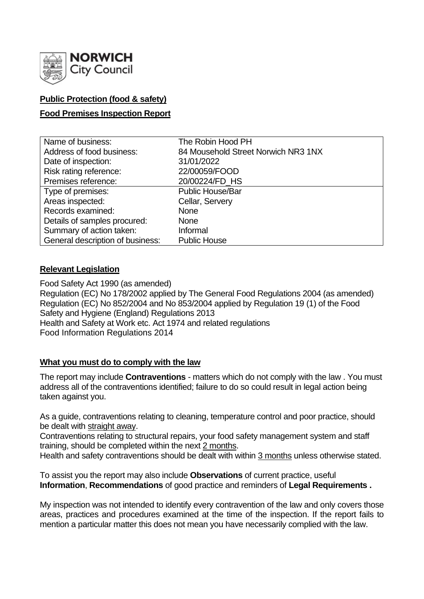

## **Public Protection (food & safety)**

### **Food Premises Inspection Report**

| Name of business:                | The Robin Hood PH                   |
|----------------------------------|-------------------------------------|
| Address of food business:        | 84 Mousehold Street Norwich NR3 1NX |
| Date of inspection:              | 31/01/2022                          |
| Risk rating reference:           | 22/00059/FOOD                       |
| Premises reference:              | 20/00224/FD_HS                      |
| Type of premises:                | <b>Public House/Bar</b>             |
| Areas inspected:                 | Cellar, Servery                     |
| Records examined:                | <b>None</b>                         |
| Details of samples procured:     | <b>None</b>                         |
| Summary of action taken:         | Informal                            |
| General description of business: | <b>Public House</b>                 |

### **Relevant Legislation**

Food Safety Act 1990 (as amended) Regulation (EC) No 178/2002 applied by The General Food Regulations 2004 (as amended) Regulation (EC) No 852/2004 and No 853/2004 applied by Regulation 19 (1) of the Food Safety and Hygiene (England) Regulations 2013 Health and Safety at Work etc. Act 1974 and related regulations Food Information Regulations 2014

### **What you must do to comply with the law**

The report may include **Contraventions** - matters which do not comply with the law . You must address all of the contraventions identified; failure to do so could result in legal action being taken against you.

As a guide, contraventions relating to cleaning, temperature control and poor practice, should be dealt with straight away.

Contraventions relating to structural repairs, your food safety management system and staff training, should be completed within the next 2 months.

Health and safety contraventions should be dealt with within 3 months unless otherwise stated.

To assist you the report may also include **Observations** of current practice, useful **Information**, **Recommendations** of good practice and reminders of **Legal Requirements .**

My inspection was not intended to identify every contravention of the law and only covers those areas, practices and procedures examined at the time of the inspection. If the report fails to mention a particular matter this does not mean you have necessarily complied with the law.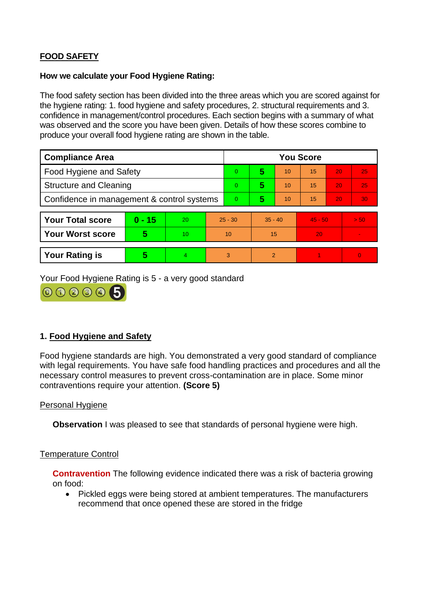# **FOOD SAFETY**

#### **How we calculate your Food Hygiene Rating:**

The food safety section has been divided into the three areas which you are scored against for the hygiene rating: 1. food hygiene and safety procedures, 2. structural requirements and 3. confidence in management/control procedures. Each section begins with a summary of what was observed and the score you have been given. Details of how these scores combine to produce your overall food hygiene rating are shown in the table.

| <b>Compliance Area</b>                     |          |    | <b>You Score</b> |          |                |    |           |    |                |  |  |
|--------------------------------------------|----------|----|------------------|----------|----------------|----|-----------|----|----------------|--|--|
| <b>Food Hygiene and Safety</b>             |          |    |                  | $\Omega$ | 5              | 10 | 15        | 20 | 25             |  |  |
| <b>Structure and Cleaning</b>              |          |    | $\Omega$         | 5        | 10             | 15 | 20        | 25 |                |  |  |
| Confidence in management & control systems |          |    | $\Omega$         | 5        | 10             | 15 | 20        | 30 |                |  |  |
|                                            |          |    |                  |          |                |    |           |    |                |  |  |
| <b>Your Total score</b>                    | $0 - 15$ | 20 | $25 - 30$        |          | $35 - 40$      |    | $45 - 50$ |    | > 50           |  |  |
| <b>Your Worst score</b>                    | 5        | 10 | 10               |          | 15             |    | 20        |    | $\blacksquare$ |  |  |
|                                            |          |    |                  |          |                |    |           |    |                |  |  |
| <b>Your Rating is</b>                      | 5        | 4  |                  | 3        | $\overline{2}$ |    |           |    | $\overline{0}$ |  |  |

Your Food Hygiene Rating is 5 - a very good standard



## **1. Food Hygiene and Safety**

Food hygiene standards are high. You demonstrated a very good standard of compliance with legal requirements. You have safe food handling practices and procedures and all the necessary control measures to prevent cross-contamination are in place. Some minor contraventions require your attention. **(Score 5)**

### Personal Hygiene

**Observation** I was pleased to see that standards of personal hygiene were high.

#### Temperature Control

**Contravention** The following evidence indicated there was a risk of bacteria growing on food:

• Pickled eggs were being stored at ambient temperatures. The manufacturers recommend that once opened these are stored in the fridge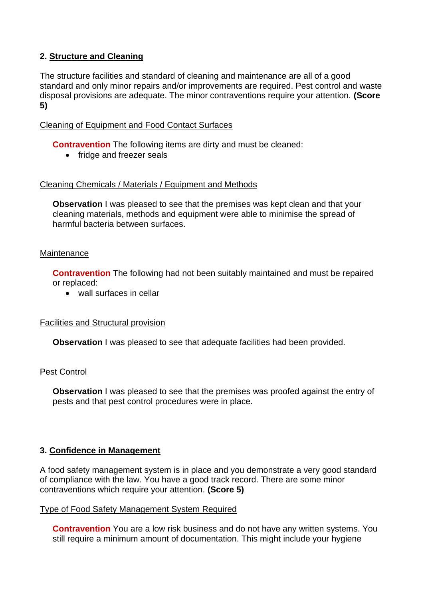## **2. Structure and Cleaning**

The structure facilities and standard of cleaning and maintenance are all of a good standard and only minor repairs and/or improvements are required. Pest control and waste disposal provisions are adequate. The minor contraventions require your attention. **(Score 5)**

### Cleaning of Equipment and Food Contact Surfaces

**Contravention** The following items are dirty and must be cleaned:

• fridge and freezer seals

### Cleaning Chemicals / Materials / Equipment and Methods

**Observation** I was pleased to see that the premises was kept clean and that your cleaning materials, methods and equipment were able to minimise the spread of harmful bacteria between surfaces.

### Maintenance

**Contravention** The following had not been suitably maintained and must be repaired or replaced:

• wall surfaces in cellar

### Facilities and Structural provision

**Observation** I was pleased to see that adequate facilities had been provided.

### Pest Control

**Observation** I was pleased to see that the premises was proofed against the entry of pests and that pest control procedures were in place.

### **3. Confidence in Management**

A food safety management system is in place and you demonstrate a very good standard of compliance with the law. You have a good track record. There are some minor contraventions which require your attention. **(Score 5)**

#### Type of Food Safety Management System Required

**Contravention** You are a low risk business and do not have any written systems. You still require a minimum amount of documentation. This might include your hygiene